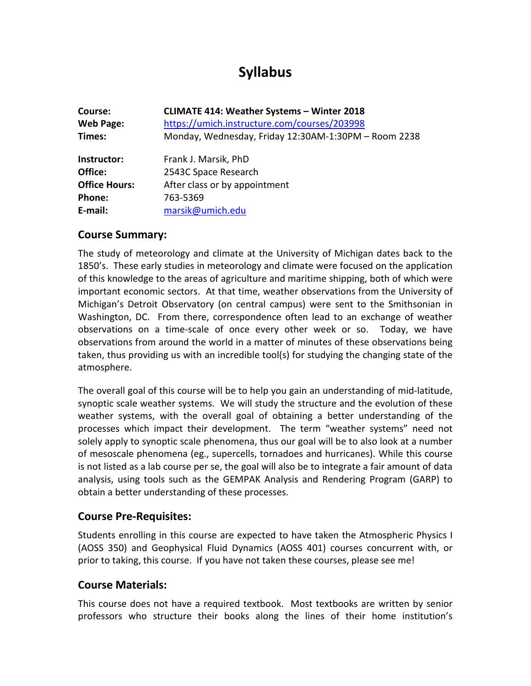# **Syllabus**

| Course:<br><b>Web Page:</b><br>Times: | <b>CLIMATE 414: Weather Systems - Winter 2018</b><br>https://umich.instructure.com/courses/203998<br>Monday, Wednesday, Friday 12:30AM-1:30PM - Room 2238 |
|---------------------------------------|-----------------------------------------------------------------------------------------------------------------------------------------------------------|
| Instructor:                           | Frank J. Marsik, PhD                                                                                                                                      |
| Office:                               | 2543C Space Research                                                                                                                                      |
| <b>Office Hours:</b>                  | After class or by appointment                                                                                                                             |
| Phone:                                | 763-5369                                                                                                                                                  |
| E-mail:                               | marsik@umich.edu                                                                                                                                          |

#### **Course Summary:**

The study of meteorology and climate at the University of Michigan dates back to the 1850's. These early studies in meteorology and climate were focused on the application of this knowledge to the areas of agriculture and maritime shipping, both of which were important economic sectors. At that time, weather observations from the University of Michigan's Detroit Observatory (on central campus) were sent to the Smithsonian in Washington, DC. From there, correspondence often lead to an exchange of weather observations on a time-scale of once every other week or so. Today, we have observations from around the world in a matter of minutes of these observations being taken, thus providing us with an incredible tool(s) for studying the changing state of the atmosphere.

The overall goal of this course will be to help you gain an understanding of mid-latitude, synoptic scale weather systems. We will study the structure and the evolution of these weather systems, with the overall goal of obtaining a better understanding of the processes which impact their development. The term "weather systems" need not solely apply to synoptic scale phenomena, thus our goal will be to also look at a number of mesoscale phenomena (eg., supercells, tornadoes and hurricanes). While this course is not listed as a lab course per se, the goal will also be to integrate a fair amount of data analysis, using tools such as the GEMPAK Analysis and Rendering Program (GARP) to obtain a better understanding of these processes.

#### **Course Pre-Requisites:**

Students enrolling in this course are expected to have taken the Atmospheric Physics I (AOSS 350) and Geophysical Fluid Dynamics (AOSS 401) courses concurrent with, or prior to taking, this course. If you have not taken these courses, please see me!

### **Course Materials:**

This course does not have a required textbook. Most textbooks are written by senior professors who structure their books along the lines of their home institution's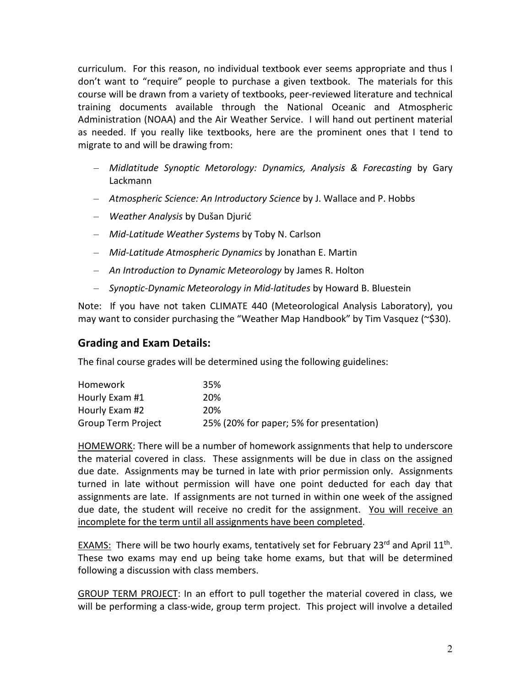curriculum. For this reason, no individual textbook ever seems appropriate and thus I don't want to "require" people to purchase a given textbook. The materials for this course will be drawn from a variety of textbooks, peer-reviewed literature and technical training documents available through the National Oceanic and Atmospheric Administration (NOAA) and the Air Weather Service. I will hand out pertinent material as needed. If you really like textbooks, here are the prominent ones that I tend to migrate to and will be drawing from:

- *Midlatitude Synoptic Metorology: Dynamics, Analysis & Forecasting* by Gary Lackmann
- *Atmospheric Science: An Introductory Science* by J. Wallace and P. Hobbs
- *Weather Analysis* by Dušan Djurić
- *Mid-Latitude Weather Systems* by Toby N. Carlson
- *Mid-Latitude Atmospheric Dynamics* by Jonathan E. Martin
- *An Introduction to Dynamic Meteorology* by James R. Holton
- *Synoptic-Dynamic Meteorology in Mid-latitudes* by Howard B. Bluestein

Note: If you have not taken CLIMATE 440 (Meteorological Analysis Laboratory), you may want to consider purchasing the "Weather Map Handbook" by Tim Vasquez (~\$30).

#### **Grading and Exam Details:**

The final course grades will be determined using the following guidelines:

| Homework           | 35%                                      |
|--------------------|------------------------------------------|
| Hourly Exam #1     | 20%                                      |
| Hourly Exam #2     | <b>20%</b>                               |
| Group Term Project | 25% (20% for paper; 5% for presentation) |

HOMEWORK: There will be a number of homework assignments that help to underscore the material covered in class. These assignments will be due in class on the assigned due date. Assignments may be turned in late with prior permission only. Assignments turned in late without permission will have one point deducted for each day that assignments are late. If assignments are not turned in within one week of the assigned due date, the student will receive no credit for the assignment. You will receive an incomplete for the term until all assignments have been completed.

**EXAMS:** There will be two hourly exams, tentatively set for February 23<sup>rd</sup> and April  $11<sup>th</sup>$ . These two exams may end up being take home exams, but that will be determined following a discussion with class members.

GROUP TERM PROJECT: In an effort to pull together the material covered in class, we will be performing a class-wide, group term project. This project will involve a detailed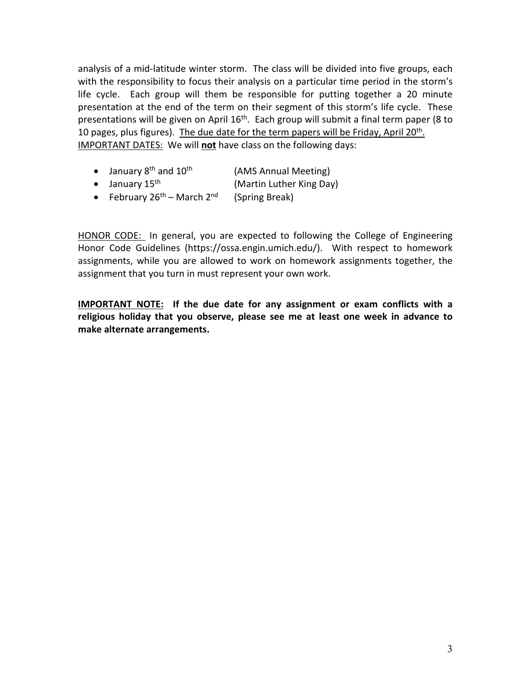analysis of a mid-latitude winter storm. The class will be divided into five groups, each with the responsibility to focus their analysis on a particular time period in the storm's life cycle. Each group will them be responsible for putting together a 20 minute presentation at the end of the term on their segment of this storm's life cycle. These presentations will be given on April 16<sup>th</sup>. Each group will submit a final term paper (8 to 10 pages, plus figures). The due date for the term papers will be Friday, April 20<sup>th</sup>. IMPORTANT DATES: We will **not** have class on the following days:

- January  $8<sup>th</sup>$  and  $10<sup>th</sup>$ (AMS Annual Meeting)
- January 15<sup>th</sup> (Martin Luther King Day)
- February 26<sup>th</sup> March 2<sup>nd</sup> (Spring Break)

HONOR CODE: In general, you are expected to following the College of Engineering Honor Code Guidelines (https://ossa.engin.umich.edu/). With respect to homework assignments, while you are allowed to work on homework assignments together, the assignment that you turn in must represent your own work.

**IMPORTANT NOTE: If the due date for any assignment or exam conflicts with a religious holiday that you observe, please see me at least one week in advance to make alternate arrangements.**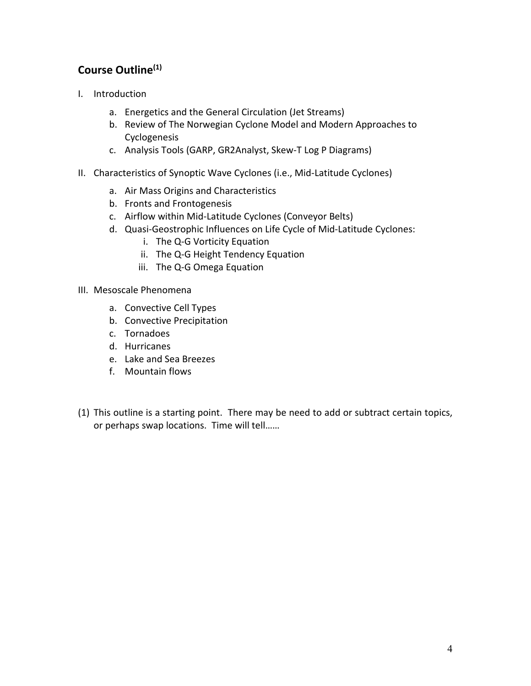# **Course Outline(1)**

- I. Introduction
	- a. Energetics and the General Circulation (Jet Streams)
	- b. Review of The Norwegian Cyclone Model and Modern Approaches to Cyclogenesis
	- c. Analysis Tools (GARP, GR2Analyst, Skew-T Log P Diagrams)
- II. Characteristics of Synoptic Wave Cyclones (i.e., Mid-Latitude Cyclones)
	- a. Air Mass Origins and Characteristics
	- b. Fronts and Frontogenesis
	- c. Airflow within Mid-Latitude Cyclones (Conveyor Belts)
	- d. Quasi-Geostrophic Influences on Life Cycle of Mid-Latitude Cyclones:
		- i. The Q-G Vorticity Equation
		- ii. The Q-G Height Tendency Equation
		- iii. The Q-G Omega Equation
- III. Mesoscale Phenomena
	- a. Convective Cell Types
	- b. Convective Precipitation
	- c. Tornadoes
	- d. Hurricanes
	- e. Lake and Sea Breezes
	- f. Mountain flows
- (1) This outline is a starting point. There may be need to add or subtract certain topics, or perhaps swap locations. Time will tell……